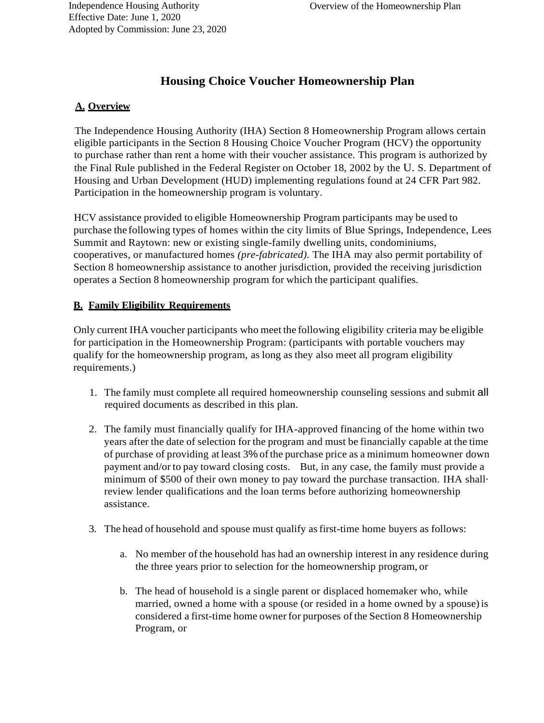# **Housing Choice Voucher Homeownership Plan**

# **A. Overview**

The Independence Housing Authority (IHA) Section 8 Homeownership Program allows certain eligible participants in the Section 8 Housing Choice Voucher Program (HCV) the opportunity to purchase rather than rent a home with their voucher assistance. This program is authorized by the Final Rule published in the Federal Register on October 18, 2002 by the U. S. Department of Housing and Urban Development (HUD) implementing regulations found at 24 CFR Part 982. Participation in the homeownership program is voluntary.

HCV assistance provided to eligible Homeownership Program participants may be used to purchase the following types of homes within the city limits of Blue Springs, Independence, Lees Summit and Raytown: new or existing single-family dwelling units, condominiums, cooperatives, or manufactured homes *(pre-fabricated).* The IHA may also permit portability of Section 8 homeownership assistance to another jurisdiction, provided the receiving jurisdiction operates a Section 8 homeownership program for which the participant qualifies.

# **B. Family Eligibility Requirements**

Only current IHA voucher participants who meet the following eligibility criteria may be eligible for participation in the Homeownership Program: (participants with portable vouchers may qualify for the homeownership program, as long as they also meet all program eligibility requirements.)

- 1. The family must complete all required homeownership counseling sessions and submit all required documents as described in this plan.
- 2. The family must financially qualify for IHA-approved financing of the home within two years after the date of selection for the program and must be financially capable at the time of purchase of providing at least 3% ofthe purchase price as a minimum homeowner down payment and/or to pay toward closing costs. But, in any case, the family must provide a minimum of \$500 of their own money to pay toward the purchase transaction. IHA shall· review lender qualifications and the loan terms before authorizing homeownership assistance.
- 3. The head of household and spouse must qualify asfirst-time home buyers as follows:
	- a. No member of the household has had an ownership interest in any residence during the three years prior to selection for the homeownership program, or
	- b. The head of household is a single parent or displaced homemaker who, while married, owned a home with a spouse (or resided in a home owned by a spouse)is considered a first-time home owner for purposes of the Section 8 Homeownership Program, or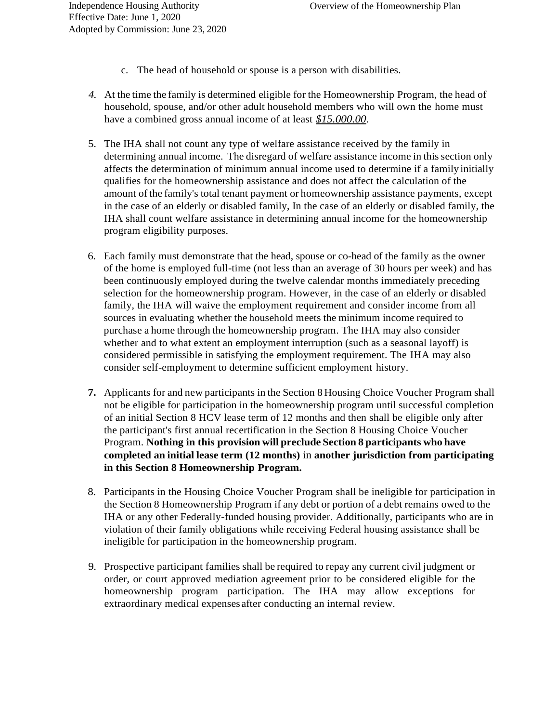- c. The head of household or spouse is a person with disabilities.
- *4.* At the time the family is determined eligible for the Homeownership Program, the head of household, spouse, and/or other adult household members who will own the home must have a combined gross annual income of at least *\$15.000.00.*
- 5. The IHA shall not count any type of welfare assistance received by the family in determining annual income. The disregard of welfare assistance income in this section only affects the determination of minimum annual income used to determine if a family initially qualifies for the homeownership assistance and does not affect the calculation of the amount of the family's total tenant payment or homeownership assistance payments, except in the case of an elderly or disabled family, In the case of an elderly or disabled family, the IHA shall count welfare assistance in determining annual income for the homeownership program eligibility purposes.
- 6. Each family must demonstrate that the head, spouse or co-head of the family as the owner of the home is employed full-time (not less than an average of 30 hours per week) and has been continuously employed during the twelve calendar months immediately preceding selection for the homeownership program. However, in the case of an elderly or disabled family, the IHA will waive the employment requirement and consider income from all sources in evaluating whether the household meets the minimum income required to purchase a home through the homeownership program. The IHA may also consider whether and to what extent an employment interruption (such as a seasonal layoff) is considered permissible in satisfying the employment requirement. The IHA may also consider self-employment to determine sufficient employment history.
- **7.** Applicants for and new participants in the Section 8 Housing Choice Voucher Program shall not be eligible for participation in the homeownership program until successful completion of an initial Section 8 HCV lease term of 12 months and then shall be eligible only after the participant's first annual recertification in the Section 8 Housing Choice Voucher Program. **Nothing in this provision will preclude Section 8 participants who have completed an initial lease term (12 months)** in **another jurisdiction from participating in this Section 8 Homeownership Program.**
- 8. Participants in the Housing Choice Voucher Program shall be ineligible for participation in the Section 8 Homeownership Program if any debt or portion of a debt remains owed to the IHA or any other Federally-funded housing provider. Additionally, participants who are in violation of their family obligations while receiving Federal housing assistance shall be ineligible for participation in the homeownership program.
- 9. Prospective participant families shall be required to repay any current civil judgment or order, or court approved mediation agreement prior to be considered eligible for the homeownership program participation. The IHA may allow exceptions for extraordinary medical expenses after conducting an internal review.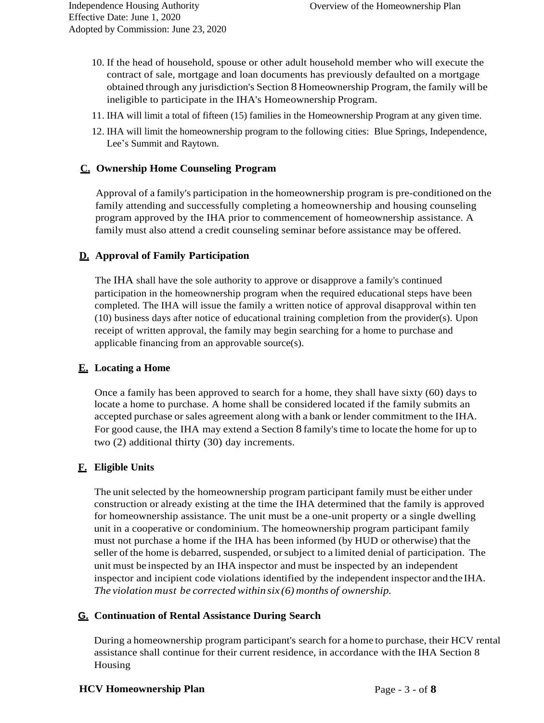- 10. If the head of household, spouse or other adult household member who will execute the contract of sale, mortgage and loan documents has previously defaulted on a mortgage obtained through any jurisdiction's Section 8 Homeownership Program, the family will be ineligible to participate in the IHA's Homeownership Program.
- 11. IHA will limit a total of fifteen (15) families in the Homeownership Program at any given time.
- 12. IHA will limit the homeownership program to the following cities: Blue Springs, Independence, Lee's Summit and Raytown.

#### **C. Ownership Home Counseling Program**

Approval of a family's participation in the homeownership program is pre-conditioned on the family attending and successfully completing a homeownership and housing counseling program approved by the IHA prior to commencement of homeownership assistance. A family must also attend a credit counseling seminar before assistance may be offered.

#### **D. Approval of Family Participation**

The IHA shall have the sole authority to approve or disapprove a family's continued participation in the homeownership program when the required educational steps have been completed. The IHA will issue the family a written notice of approval disapproval within ten (10) business days after notice of educational training completion from the provider(s). Upon receipt of written approval, the family may begin searching for a home to purchase and applicable financing from an approvable source(s).

#### **E. Locating a Home**

Once a family has been approved to search for a home, they shall have sixty (60) days to locate a home to purchase. A home shall be considered located if the family submits an accepted purchase or sales agreement along with a bank or lender commitment to the IHA. For good cause, the IHA may extend a Section 8 family's time to locate the home for up to two (2) additional thirty (30) day increments.

# **F. Eligible Units**

The unit selected by the homeownership program participant family must be either under construction or already existing at the time the IHA determined that the family is approved for homeownership assistance. The unit must be a one-unit property or a single dwelling unit in a cooperative or condominium. The homeownership program participant family must not purchase a home if the IHA has been informed (by HUD or otherwise) that the seller of the home is debarred, suspended, or subject to a limited denial of participation. The unit must be inspected by an IHA inspector and must be inspected by an independent inspector and incipient code violations identified by the independent inspector andthe IHA. *The violation must be corrected within six (6) months of ownership.*

#### **G. Continuation of Rental Assistance During Search**

During a homeownership program participant's search for a home to purchase, their HCV rental assistance shall continue for their current residence, in accordance with the IHA Section 8 Housing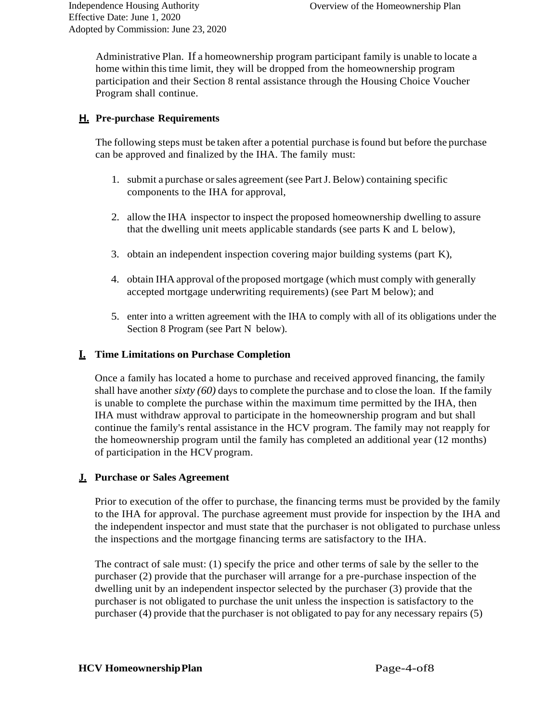Administrative Plan. If a homeownership program participant family is unable to locate a home within this time limit, they will be dropped from the homeownership program participation and their Section 8 rental assistance through the Housing Choice Voucher Program shall continue.

# **H. Pre-purchase Requirements**

The following steps must be taken after a potential purchase isfound but before the purchase can be approved and finalized by the IHA. The family must:

- 1. submit a purchase orsales agreement (see PartJ. Below) containing specific components to the IHA for approval,
- 2. allow the IHA inspector to inspect the proposed homeownership dwelling to assure that the dwelling unit meets applicable standards (see parts K and L below),
- 3. obtain an independent inspection covering major building systems (part K),
- 4. obtain IHA approval ofthe proposed mortgage (which must comply with generally accepted mortgage underwriting requirements) (see Part M below); and
- 5. enter into a written agreement with the IHA to comply with all of its obligations under the Section 8 Program (see Part N below).

# **I. Time Limitations on Purchase Completion**

Once a family has located a home to purchase and received approved financing, the family shall have another *sixty (60)* days to complete the purchase and to close the loan. If the family is unable to complete the purchase within the maximum time permitted by the IHA, then IHA must withdraw approval to participate in the homeownership program and but shall continue the family's rental assistance in the HCV program. The family may not reapply for the homeownership program until the family has completed an additional year (12 months) of participation in the HCV program.

# **J. Purchase or Sales Agreement**

Prior to execution of the offer to purchase, the financing terms must be provided by the family to the IHA for approval. The purchase agreement must provide for inspection by the IHA and the independent inspector and must state that the purchaser is not obligated to purchase unless the inspections and the mortgage financing terms are satisfactory to the IHA.

The contract of sale must: (1) specify the price and other terms of sale by the seller to the purchaser (2) provide that the purchaser will arrange for a pre-purchase inspection of the dwelling unit by an independent inspector selected by the purchaser (3) provide that the purchaser is not obligated to purchase the unit unless the inspection is satisfactory to the purchaser (4) provide that the purchaser is not obligated to pay for any necessary repairs (5)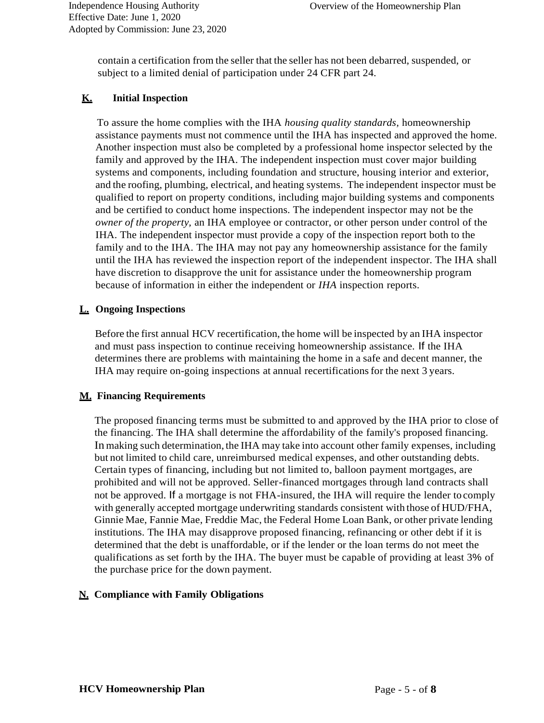contain a certification from the seller that the seller has not been debarred, suspended, or subject to a limited denial of participation under 24 CFR part 24.

#### **K. Initial Inspection**

To assure the home complies with the IHA *housing quality standards,* homeownership assistance payments must not commence until the IHA has inspected and approved the home. Another inspection must also be completed by a professional home inspector selected by the family and approved by the IHA. The independent inspection must cover major building systems and components, including foundation and structure, housing interior and exterior, and the roofing, plumbing, electrical, and heating systems. The independent inspector must be qualified to report on property conditions, including major building systems and components and be certified to conduct home inspections. The independent inspector may not be the *owner of the property,* an IHA employee or contractor, or other person under control of the IHA. The independent inspector must provide a copy of the inspection report both to the family and to the IHA. The IHA may not pay any homeownership assistance for the family until the IHA has reviewed the inspection report of the independent inspector. The IHA shall have discretion to disapprove the unit for assistance under the homeownership program because of information in either the independent or *IHA* inspection reports.

#### **L. Ongoing Inspections**

Before the first annual HCV recertification, the home will be inspected by an IHA inspector and must pass inspection to continue receiving homeownership assistance. If the IHA determines there are problems with maintaining the home in a safe and decent manner, the IHA may require on-going inspections at annual recertificationsfor the next 3 years.

# **M. Financing Requirements**

The proposed financing terms must be submitted to and approved by the IHA prior to close of the financing. The IHA shall determine the affordability of the family's proposed financing. In making such determination, the IHA may take into account other family expenses, including but not limited to child care, unreimbursed medical expenses, and other outstanding debts. Certain types of financing, including but not limited to, balloon payment mortgages, are prohibited and will not be approved. Seller-financed mortgages through land contracts shall not be approved. If a mortgage is not FHA-insured, the IHA will require the lender to comply with generally accepted mortgage underwriting standards consistent with those of HUD/FHA, Ginnie Mae, Fannie Mae, Freddie Mac, the Federal Home Loan Bank, or other private lending institutions. The IHA may disapprove proposed financing, refinancing or other debt if it is determined that the debt is unaffordable, or if the lender or the loan terms do not meet the qualifications as set forth by the IHA. The buyer must be capable of providing at least 3% of the purchase price for the down payment.

# **N. Compliance with Family Obligations**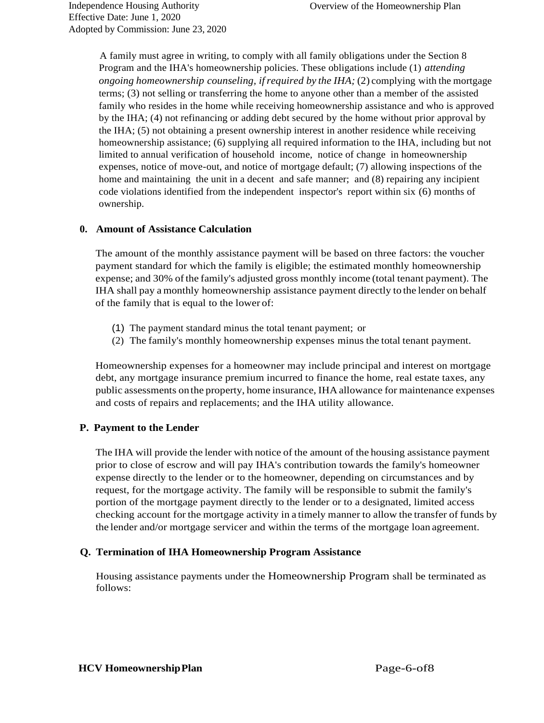A family must agree in writing, to comply with all family obligations under the Section 8 Program and the IHA's homeownership policies. These obligations include (1) *attending ongoing homeownership counseling, ifrequired by the IHA;* (2) complying with the mortgage terms; (3) not selling or transferring the home to anyone other than a member of the assisted family who resides in the home while receiving homeownership assistance and who is approved by the IHA; (4) not refinancing or adding debt secured by the home without prior approval by the IHA; (5) not obtaining a present ownership interest in another residence while receiving homeownership assistance; (6) supplying all required information to the IHA, including but not limited to annual verification of household income, notice of change in homeownership expenses, notice of move-out, and notice of mortgage default; (7) allowing inspections of the home and maintaining the unit in a decent and safe manner; and (8) repairing any incipient code violations identified from the independent inspector's report within six (6) months of ownership.

#### **0. Amount of Assistance Calculation**

The amount of the monthly assistance payment will be based on three factors: the voucher payment standard for which the family is eligible; the estimated monthly homeownership expense; and 30% of the family's adjusted gross monthly income (total tenant payment). The IHA shall pay a monthly homeownership assistance payment directly to the lender on behalf of the family that is equal to the lower of:

- (1) The payment standard minus the total tenant payment; or
- (2) The family's monthly homeownership expenses minus the total tenant payment.

Homeownership expenses for a homeowner may include principal and interest on mortgage debt, any mortgage insurance premium incurred to finance the home, real estate taxes, any public assessments on the property, home insurance, IHA allowance for maintenance expenses and costs of repairs and replacements; and the IHA utility allowance.

# **P. Payment to the Lender**

The IHA will provide the lender with notice of the amount of the housing assistance payment prior to close of escrow and will pay IHA's contribution towards the family's homeowner expense directly to the lender or to the homeowner, depending on circumstances and by request, for the mortgage activity. The family will be responsible to submit the family's portion of the mortgage payment directly to the lender or to a designated, limited access checking account for the mortgage activity in a timely manner to allow the transfer of funds by the lender and/or mortgage servicer and within the terms of the mortgage loan agreement.

# **Q. Termination of IHA Homeownership Program Assistance**

Housing assistance payments under the Homeownership Program shall be terminated as follows: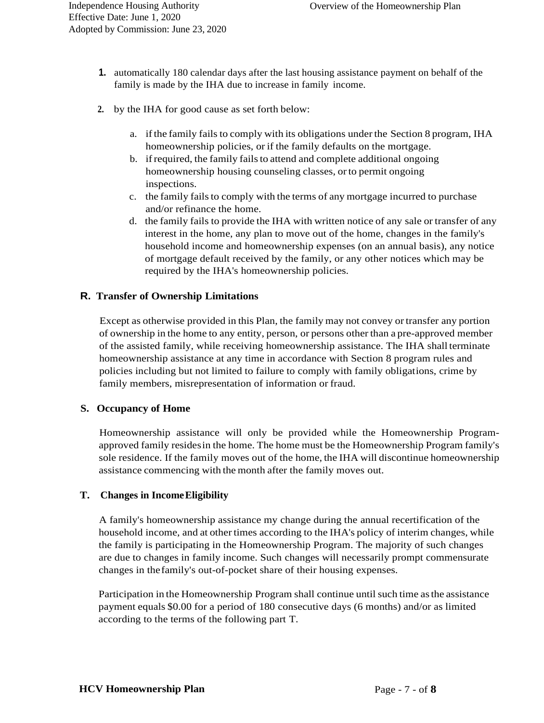- **1.** automatically 180 calendar days after the last housing assistance payment on behalf of the family is made by the IHA due to increase in family income.
- **2.** by the IHA for good cause as set forth below:
	- a. ifthe family fails to comply with its obligations under the Section 8 program, IHA homeownership policies, or if the family defaults on the mortgage.
	- b. if required, the family fails to attend and complete additional ongoing homeownership housing counseling classes, orto permit ongoing inspections.
	- c. the family fails to comply with the terms of any mortgage incurred to purchase and/or refinance the home.
	- d. the family fails to provide the IHA with written notice of any sale or transfer of any interest in the home, any plan to move out of the home, changes in the family's household income and homeownership expenses (on an annual basis), any notice of mortgage default received by the family, or any other notices which may be required by the IHA's homeownership policies.

#### **R. Transfer of Ownership Limitations**

Except as otherwise provided in this Plan, the family may not convey ortransfer any portion of ownership in the home to any entity, person, or persons other than a pre-approved member of the assisted family, while receiving homeownership assistance. The IHA shall terminate homeownership assistance at any time in accordance with Section 8 program rules and policies including but not limited to failure to comply with family obligations, crime by family members, misrepresentation of information or fraud.

#### **S. Occupancy of Home**

Homeownership assistance will only be provided while the Homeownership Programapproved family residesin the home. The home must be the Homeownership Program family's sole residence. If the family moves out of the home, the IHA will discontinue homeownership assistance commencing with the month after the family moves out.

#### **T. Changes in IncomeEligibility**

A family's homeownership assistance my change during the annual recertification of the household income, and at other times according to the IHA's policy of interim changes, while the family is participating in the Homeownership Program. The majority of such changes are due to changes in family income. Such changes will necessarily prompt commensurate changes in thefamily's out-of-pocket share of their housing expenses.

Participation in the Homeownership Program shall continue until such time asthe assistance payment equals \$0.00 for a period of 180 consecutive days (6 months) and/or as limited according to the terms of the following part T.